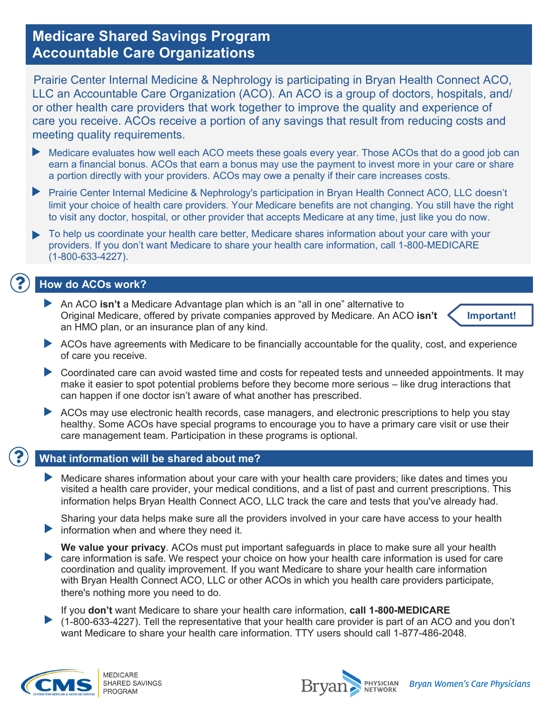# **Medicare Shared Savings Program Accountable Care Organizations**

Prairie Center Internal Medicine & Nephrology is participating in Bryan Health Connect ACO, LLC an Accountable Care Organization (ACO). An ACO is a group of doctors, hospitals, and/ or other health care providers that work together to improve the quality and experience of care you receive. ACOs receive a portion of any savings that result from reducing costs and meeting quality requirements.

- Medicare evaluates how well each ACO meets these goals every year. Those ACOs that do a good job can earn a financial bonus. ACOs that earn a bonus may use the payment to invest more in your care or share a portion directly with your providers. ACOs may owe a penalty if their care increases costs.
- $\blacktriangleright$ Prairie Center Internal Medicine & Nephrology's participation in Bryan Health Connect ACO, LLC doesn't limit your choice of health care providers. Your Medicare benefits are not changing. You still have the right to visit any doctor, hospital, or other provider that accepts Medicare at any time, just like you do now.
- To help us coordinate your health care better, Medicare shares information about your care with your providers. If you don't want Medicare to share your health care information, call 1-800-MEDICARE (1-800-633-4227).

# **How do ACOs work?**

An ACO **isn't** a Medicare Advantage plan which is an "all in one" alternative to Original Medicare, offered by private companies approved by Medicare. An ACO **isn't** an HMO plan, or an insurance plan of any kind.



- ACOs have agreements with Medicare to be financially accountable for the quality, cost, and experience of care you receive.
- Coordinated care can avoid wasted time and costs for repeated tests and unneeded appointments. It may make it easier to spot potential problems before they become more serious – like drug interactions that can happen if one doctor isn't aware of what another has prescribed.
- ACOs may use electronic health records, case managers, and electronic prescriptions to help you stay healthy. Some ACOs have special programs to encourage you to have a primary care visit or use their care management team. Participation in these programs is optional.



### **What information will be shared about me?**

Medicare shares information about your care with your health care providers; like dates and times you visited a health care provider, your medical conditions, and a list of past and current prescriptions. This information helps Bryan Health Connect ACO, LLC track the care and tests that you've already had.

Sharing your data helps make sure all the providers involved in your care have access to your health **Information when and where they need it.** 

**We value your privacy**. ACOs must put important safeguards in place to make sure all your health care information is safe. We respect your choice on how your health care information is used for care coordination and quality improvement. If you want Medicare to share your health care information with Bryan Health Connect ACO, LLC or other ACOs in which you health care providers participate, there's nothing more you need to do.

If you **don't** want Medicare to share your health care information, **call 1-800-MEDICARE** (1-800-633-4227). Tell the representative that your health care provider is part of an ACO and you don't want Medicare to share your health care information. TTY users should call 1-877-486-2048.